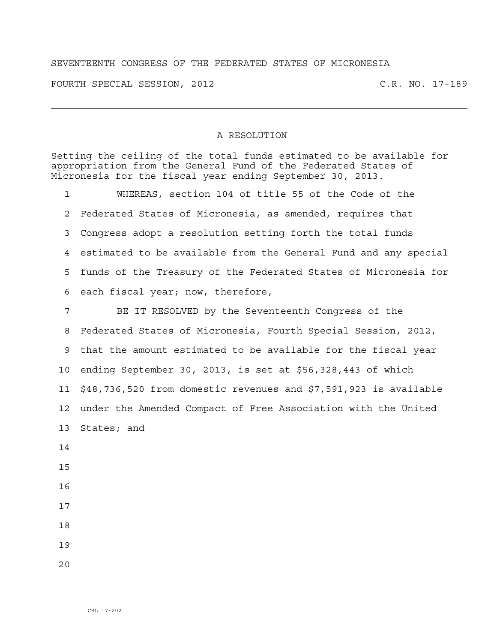## SEVENTEENTH CONGRESS OF THE FEDERATED STATES OF MICRONESIA

FOURTH SPECIAL SESSION, 2012 C.R. NO. 17-189

## A RESOLUTION

Setting the ceiling of the total funds estimated to be available for appropriation from the General Fund of the Federated States of Micronesia for the fiscal year ending September 30, 2013.

1 WHEREAS, section 104 of title 55 of the Code of the 2 Federated States of Micronesia, as amended, requires that 3 Congress adopt a resolution setting forth the total funds 4 estimated to be available from the General Fund and any special 5 funds of the Treasury of the Federated States of Micronesia for 6 each fiscal year; now, therefore,

7 BE IT RESOLVED by the Seventeenth Congress of the 8 Federated States of Micronesia, Fourth Special Session, 2012, 9 that the amount estimated to be available for the fiscal year 10 ending September 30, 2013, is set at \$56,328,443 of which 11 \$48,736,520 from domestic revenues and \$7,591,923 is available 12 under the Amended Compact of Free Association with the United 13 States; and 14

15

- 16
- 17
- 18

19

 $2.0$